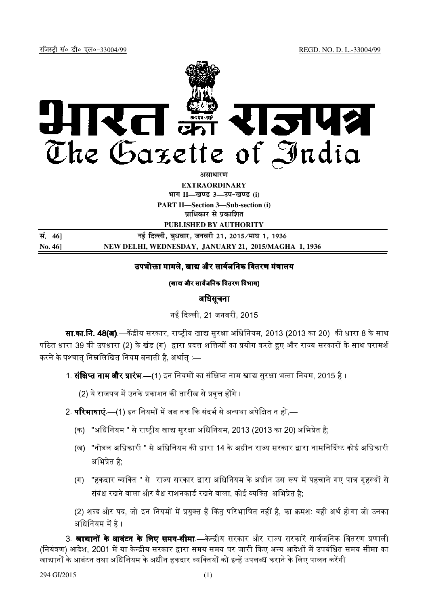

**असाधारण** 

**EXTRAORDINARY**  $4$ **HI<sup>T</sup> II—<br>***E***US** 3—34-खण्ड (i)

**PART II—Section 3—Sub-section (i) प्राधिकार से प्रकाशित** 

**PUBLISHED BY AUTHORITY**

| सं. 46] | नई दिल्ली, बुधवार, जनवरी 21, 2015 ⁄माघ 1, 1936       |
|---------|------------------------------------------------------|
| No. 46  | NEW DELHI, WEDNESDAY, JANUARY 21, 2015/MAGHA 1, 1936 |

## उपभोक्ता मामले. खाद्य और सार्वजनिक वितरण मंत्रालय

(खाद्य और सार्वजनिक वितरण विभाग)

# अधिसूचना

नई दिल्ली, 21 जनवरी, 2015.

**सा.का.नि. 48(अ)**.—केंद्रीय सरकार, राष्टीय खाद्य सरक्षा अधिनियम, 2013 (2013 का 20) की धारा 8 के साथ पठित धारा 39 की उपधारा (2) के खंड (ग) द्वारा प्रदत्त शक्तियों का प्रयोग करते हुए और राज्य सरकारों के साथ परामर्श करने के पश्चात निम्नलिखित नियम बनाती है. अर्थात :—

1. **संक्षिप्त नाम और प्रारंभ** —(1) इन नियमों का संक्षिप्त नाम खाद्य सरक्षा भत्ता नियम. 2015 है ।

(2) ये राजपत्र में उनके प्रकाशन की तारीख से प्रवत्त होंगे ।

# 2. **परिभाषाएं** —(1) इन नियमों में जब तक कि संदर्भ से अन्यथा अपेक्षित न हो —

- (क) "अधिनियम " से राष्टीय खाद्य सरक्षा अधिनियम. 2013 (2013 का 20) अभिप्रेत है:
- (ख) "नोडल अिधकारी " +
 14 + \*
 ?-
@ कोई अिधकारी अभिप्रेत है.
- (ग) "हकदार व्यक्ति " से राज्य सरकार द्वारा अधिनियम के अधीन उस रूप में पहचाने गए पात्र गहस्थों से संबंध रखने वाला और वैध राशनकार्ड रखने वाला. कोई व्यक्ति अभिप्रेत है.

(2) शब्द और पद, जो इन नियमों में प्रयक्त हैं किंत परिभाषित नहीं है. का क्रमश: वही अर्थ होगा जो उनका अधिनियम में है ।

3. **खाद्यानों के आबंटन के लिए समय-सीमा**.—केन्द्रीय सरकार और राज्य सरकारें सार्वजनिक वितरण प्रणाली (नियंत्रण) आदेश. 2001 में या केन्द्रीय सरकार द्वारा समय-समय पर जारी किए अन्य आदेशों में उपबंधित समय सीमा का खाद्यानों के आबंटन तथा अधिनियम के अधीन हकदार व्यक्तियों को इन्हें उपलब्ध कराने के लिए पालन करेंगी ।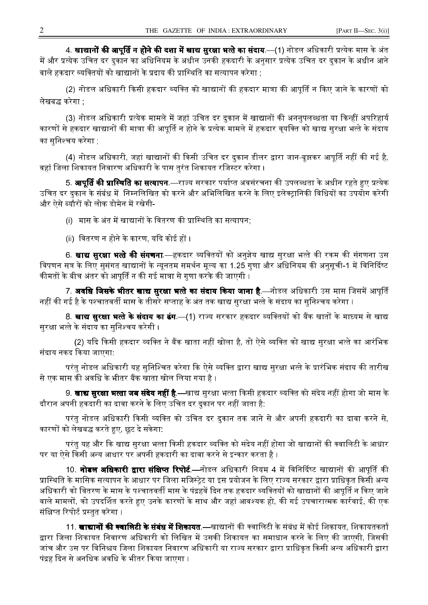4. **खाद्यानों की आपूर्ति न होने की दशा में खाद्य सुरक्षा भत्ते का संदाय** —(1) नोडल अधिकारी प्रत्येक मास के अंत में और प्रत्येक उचित दर दुकान का अधिनियम के अधीन उनकी हकदारी के अनुसार प्रत्येक उचित दर दुकान के अधीन आने वाले हकदार व्यक्तियों को खाद्यानों के प्रदाय की प्रास्थिति का सत्यापन करेगा :

(2) नोडल अधिकारी किसी हकदार व्यक्ति को खाद्यानों की हकदार मात्रा की आपूर्ति न किए जाने के कारणों को लेखबद्ध करेगा :

(3) नोडल अधिकारी प्रत्येक मामले में जहां उचित दर दुकान में खाद्यानों की अननुपलब्धता या किन्हीं अपरिहार्य कारणों से हकदार खाद्यानों की मात्रा की आपूर्ति न होने के प्रत्येक मामले में हकदार वृयक्ति को खाद्य सुरक्षा भत्ते के संदाय का सनिश्चय करेगा :

(4) नोडल अधिकारी, जहां खाद्यानों की किसी उचित दर दुकान डीलर द्वारा जान-बूझकर आपूर्ति नहीं की गई है, वहां जिला शिकायत निवारण अधिकारी के पास तुरंत शिकायत रजिस्टर करेगा ।

5. **आपूर्ति की प्रास्थिति का सत्यापन**.—राज्य सरकार पर्याप्त अवसंरचना की उपलब्धता के अधीन रहते हुए प्रत्येक उचित दर दकान के संबंध में निम्नलिखित को करने और अभिलिखित करने के लिए इलेक्ट्रानिकी विधियों का उपयोग करेगी और ऐसे ब्यौरों को लोक डोमेन में रखेगी-

(i) मास के अंत में खाद्यानों के वितरण की प्रास्थिति का सत्यापन;

(ii) वितरण न होने के कारण, यदि कोई हों ।

6. **खाद्य सुरक्षा भत्ते की संगणना** —हकदार व्यक्तियों को अनुज्ञेय खाद्य सुरक्षा भत्ते की रकम की संगणना उस विपणन सत्र के लिए सुसंगत खाद्यानों के न्यूनतम समर्थन मूल्य का 1.25 गुणा और अधिनियम की अनुसूची-1 में विनिर्दिष्ट कीमतों के बीच अंतर को आपति न की गई मात्रा से गणा करके की जाएगी ।

7. **अवधि जिसके भीतर खाद्य सुरक्षा भत्ते का संदाय किया जाना है**.—नोडल अधिकारी उस मास जिसमें आपूर्ति नहीं की गई है के पश्चातवर्ती मास के तीसरे सप्ताह के अंत तक खाद्य सुरक्षा भत्ते के संदाय का सुनिश्चय करेगा ।

8. **खाद्य सुरक्षा भत्ते के संदाय का ढंग** —(1) राज्य सरकार हकदार व्यक्तियों को बैंक खातों के माध्यम से खाद्य सरक्षा भत्ते के संदाय का सनिश्चय करेगी ।

(2) यदि किसी हकदार व्यक्ति ने बैंक खाता नहीं खोला है. तो ऐसे व्यक्ति को खाद्य सरक्षा भत्ते का आरंभिक संदाय नकद किया जाएगा:

परंतु नोडल अधिकारी यह सुनिश्चित करेगा कि ऐसे व्यक्ति द्वारा खाद्य सुरक्षा भत्ते के प्रारंभिक संदाय की तारीख से एक मास की अवधि के भीतर बैंक खाता खोल लिया गया है ।

9. **खाद्य सुरक्षा भत्ता जब संदेय नहीं है** —खाद्य सुरक्षा भत्ता किसी हकदार व्यक्ति को संदेय नहीं होगा जो मास के .<br>दौरान अपनी हकदारी का दावा करने के लिए उचित दर दकान पर नहीं जाता है:

परंतु नोडल अधिकारी किसी व्यक्ति को उचित दर दुकान तक जाने से और अपनी हकदारी का दावा करने से, कारणों को लेखबद्ध करते हुए, छूट दे सकेगा:

परंतु यह और कि खाद्य सुरक्षा भत्ता किसी हकदार व्यक्ति को संदेय नहीं होगा जो खाद्यानों की क्वालिटी के आधार पर या ऐसे किसी अन्य आधार पर अपनी हकदारी का दावा करने से इन्कार करता है ।

10. **नोडल अधिकारी द्वारा संक्षिप्त रिपोर्ट**—नोडल अधिकारी नियम 4 में विनिर्दिष्ट खाद्यानों की आपति की प्रास्थिति के मासिक सत्यापन के आधार पर जिला मजिस्टेट या इस प्रयोजन के लिए राज्य सरकार द्वारा प्राधिकत किसी अन्य अधिकारी को वितरण के मास के पश्चातवर्ती मास के पंद्रहवें दिन तक हकदार व्यक्तियों को खाद्यानों की आपूर्ति न किए जाने वाले मामलों, को उपदर्शित करते हुए उनके कारणों के साथ और जहां आवश्यक हो, की गई उपचारात्मक कार्रवाई, की एक संक्षिप्त रिपोर्ट प्रस्तत करेगा ।

11. **खाद्यानों की क्वालिटी के संबंध में शिकायत** —खाद्यानों की क्वालिटी के संबंध में कोई शिकायत, शिकायतकर्ता द्वारा जिला शिकायत निवारण अधिकारी को लिखित में उसकी शिकायत का समाधान करने के लिए की जाएगी, जिसकी जांच और उस पर विनिश्चय जिला शिकायत निवारण अधिकारी या राज्य सरकार द्वारा प्राधिकत किसी अन्य अधिकारी द्वारा पंद्रह दिन से अनधिक अवधि के भीतर किया जाएगा ।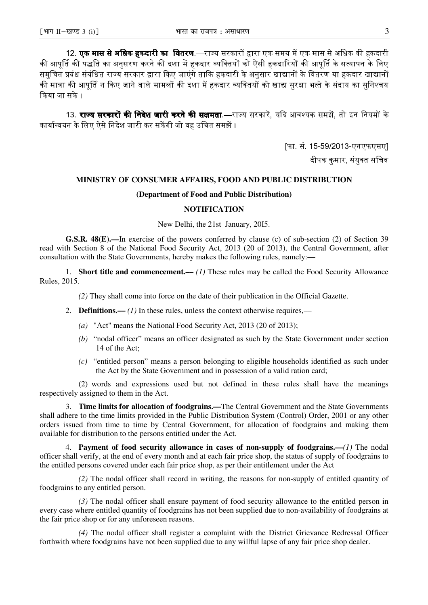12. **एक मास से अधिक हकदारी का वितरण** —राज्य सरकारों द्वारा एक समय में एक मास से अधिक की हकदारी की आपर्ति की पद्धति का अनसरण करने की दशा में हकदार व्यक्तियों को ऐसी हकदारियों की आपर्ति के सत्यापन के लिए समुचित प्रबंध संबंधित राज्य सरकार द्वारा किए जाएंगे ताकि हकदारी के अनुसार खाद्यानों के वितरण या हकदार खाद्यानों की मात्रा की आपर्ति न किए जाने वाले मामलों की दशा में हकदार व्यक्तियों को खाद्य सरक्षा भत्ते के संदाय का सनिश्चय किया जा सके ।

13. **राज्य सरकारों की निदेश जारी करने की सक्षमता**.—राज्य सरकारें, यदि आवश्यक समझें, तो इन नियमों के कार्यान्वयन के लिए ऐसे निदेश जारी कर सकेंगी जो वह उचित समझें ।

> फि. सं. 15-59/2013-एनएफएसए। दीपक कमार, संयक्त सचिव

### MINISTRY OF CONSUMER AFFAIRS, FOOD AND PUBLIC DISTRIBUTION

#### (Department of Food and Public Distribution)

#### **NOTIFICATION**

New Delhi, the 21st January, 2015.

G.S.R. 48(E).—In exercise of the powers conferred by clause (c) of sub-section (2) of Section 39 read with Section 8 of the National Food Security Act. 2013 (20 of 2013), the Central Government, after consultation with the State Governments, hereby makes the following rules, namely:

1. **Short title and commencement.**— (1) These rules may be called the Food Security Allowance Rules, 2015.

(2) They shall come into force on the date of their publication in the Official Gazette.

- 2. **Definitions.** (1) In these rules, unless the context otherwise requires,—
	- (a) "Act" means the National Food Security Act, 2013 (20 of 2013);
	- (b) "nodal officer" means an officer designated as such by the State Government under section 14 of the Act;
	- $(c)$  "entitled person" means a person belonging to eligible households identified as such under the Act by the State Government and in possession of a valid ration card;

(2) words and expressions used but not defined in these rules shall have the meanings respectively assigned to them in the Act.

3. Time limits for allocation of foodgrains.—The Central Government and the State Governments shall adhere to the time limits provided in the Public Distribution System (Control) Order, 2001 or any other orders issued from time to time by Central Government, for allocation of foodgrains and making them available for distribution to the persons entitled under the Act.

4. Payment of food security allowance in cases of non-supply of foodgrains.—(1) The nodal officer shall verify, at the end of every month and at each fair price shop, the status of supply of foodgrains to the entitled persons covered under each fair price shop, as per their entitlement under the Act

(2) The nodal officer shall record in writing, the reasons for non-supply of entitled quantity of foodgrains to any entitled person.

(3) The nodal officer shall ensure payment of food security allowance to the entitled person in every case where entitled quantity of foodgrains has not been supplied due to non-availability of foodgrains at the fair price shop or for any unforeseen reasons.

(4) The nodal officer shall register a complaint with the District Grievance Redressal Officer forthwith where foodgrains have not been supplied due to any willful lapse of any fair price shop dealer.